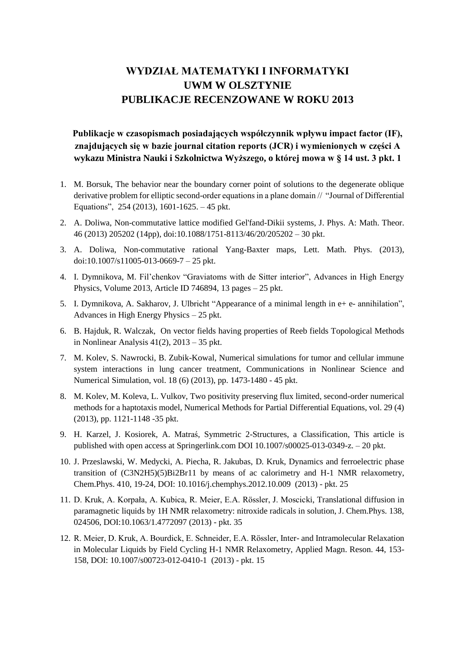# **WYDZIAŁ MATEMATYKI I INFORMATYKI UWM W OLSZTYNIE PUBLIKACJE RECENZOWANE W ROKU 2013**

## **Publikacje w czasopismach posiadających współczynnik wpływu impact factor (IF), znajdujących się w bazie journal citation reports (JCR) i wymienionych w części A wykazu Ministra Nauki i Szkolnictwa Wyższego, o której mowa w § 14 ust. 3 pkt. 1**

- 1. M. Borsuk, The behavior near the boundary corner point of solutions to the degenerate oblique derivative problem for elliptic second-order equations in a plane domain // "Journal of Differential Equations", 254 (2013), 1601-1625. – 45 pkt.
- 2. A. Doliwa, Non-commutative lattice modified Gel'fand-Dikii systems, J. Phys. A: Math. Theor. 46 (2013) 205202 (14pp), doi[:10.1088/1751-8113/46/20/205202](http://dx.doi.org/10.1088/1751-8113/46/20/205202) – 30 pkt.
- 3. A. Doliwa, Non-commutative rational Yang-Baxter maps, Lett. Math. Phys. (2013), doi[:10.1007/s11005-013-0669-7](http://dx.doi.org/10.1007/s11005-013-0669-7) – 25 pkt.
- 4. I. Dymnikova, M. Fil'chenkov "Graviatoms with de Sitter interior", Advances in High Energy Physics, Volume 2013, Article ID 746894, 13 pages – 25 pkt.
- 5. I. Dymnikova, A. Sakharov, J. Ulbricht "Appearance of a minimal length in e+ e- annihilation", Advances in High Energy Physics – 25 pkt.
- 6. B. Hajduk, R. Walczak, On vector fields having properties of Reeb fields Topological Methods in Nonlinear Analysis  $41(2)$ ,  $2013 - 35$  pkt.
- 7. M. Kolev, S. Nawrocki, B. Zubik-Kowal, Numerical simulations for tumor and cellular immune system interactions in lung cancer treatment, Communications in Nonlinear Science and Numerical Simulation, vol. 18 (6) (2013), pp. 1473-1480 - 45 pkt.
- 8. M. Kolev, M. Koleva, L. Vulkov, Two positivity preserving flux limited, second-order numerical methods for a haptotaxis model, Numerical Methods for Partial Differential Equations, vol. 29 (4) (2013), pp. 1121-1148 -35 pkt.
- 9. H. Karzel, J. Kosiorek, A. Matraś, Symmetric 2-Structures, a Classification, This article is published with open access at Springerlink.com DOI 10.1007/s00025-013-0349-z. – 20 pkt.
- 10. J. Przeslawski, W. Medycki, A. Piecha, R. Jakubas, D. Kruk, Dynamics and ferroelectric phase transition of (C3N2H5)(5)Bi2Br11 by means of ac calorimetry and H-1 NMR relaxometry, Chem.Phys. 410, 19-24, DOI: 10.1016/j.chemphys.2012.10.009 (2013) - pkt. 25
- 11. D. Kruk, A. Korpała, A. Kubica, R. Meier, E.A. Rössler, J. Moscicki, Translational diffusion in paramagnetic liquids by 1H NMR relaxometry: nitroxide radicals in solution, J. Chem.Phys. 138, 024506, DOI:10.1063/1.4772097 (2013) - pkt. 35
- 12. R. Meier, D. Kruk, A. Bourdick, E. Schneider, E.A. Rössler, Inter- and Intramolecular Relaxation in Molecular Liquids by Field Cycling H-1 NMR Relaxometry, Applied Magn. Reson. 44, 153- 158, DOI: 10.1007/s00723-012-0410-1 (2013) - pkt. 15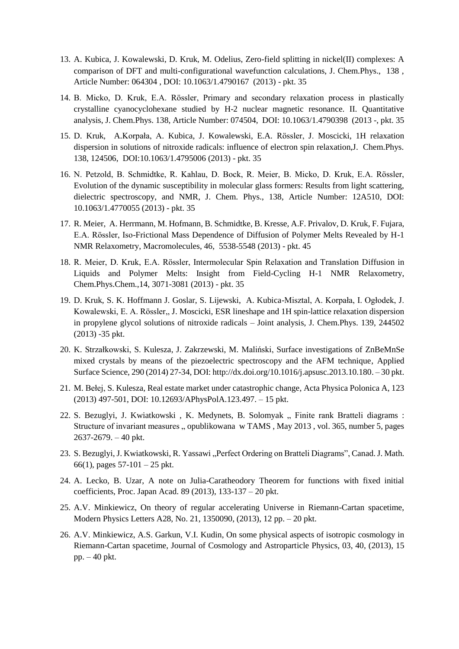- 13. A. Kubica, J. Kowalewski, D. Kruk, M. Odelius, Zero-field splitting in nickel(II) complexes: A comparison of DFT and multi-configurational wavefunction calculations, J. Chem.Phys., 138 , Article Number: 064304 , DOI: 10.1063/1.4790167 (2013) - pkt. 35
- 14. B. Micko, D. Kruk, E.A. Rössler, Primary and secondary relaxation process in plastically crystalline cyanocyclohexane studied by H-2 nuclear magnetic resonance. II. Quantitative analysis, J. Chem.Phys. 138, Article Number: 074504, DOI: 10.1063/1.4790398 (2013 -, pkt. 35
- 15. D. [Kruk, A.Korpała, A.](http://apps.webofknowledge.com/OneClickSearch.do?product=UA&search_mode=OneClickSearch&excludeEventConfig=ExcludeIfFromFullRecPage&SID=Q1VvwTeogWQ9Oj4j4Ut&field=AU&value=Kruk%2C+D) [Kubica, J.](http://apps.webofknowledge.com/OneClickSearch.do?product=UA&search_mode=OneClickSearch&excludeEventConfig=ExcludeIfFromFullRecPage&SID=Q1VvwTeogWQ9Oj4j4Ut&field=AU&value=Kubica%2C+A&cacheurlFromRightClick=no) [Kowalewski, E.A.](http://apps.webofknowledge.com/OneClickSearch.do?product=UA&search_mode=OneClickSearch&excludeEventConfig=ExcludeIfFromFullRecPage&SID=Q1VvwTeogWQ9Oj4j4Ut&field=AU&value=Kowalewski%2C+J) [Rössler, J. Moscicki, 1](http://apps.webofknowledge.com/OneClickSearch.do?product=UA&search_mode=OneClickSearch&excludeEventConfig=ExcludeIfFromFullRecPage&SID=Q1VvwTeogWQ9Oj4j4Ut&field=AU&value=Rossler%2C+E+A)H relaxation dispersion in solutions of nitroxide radicals: influence of electron spin relaxation,J. Chem.Phys. 138, 124506, DOI:10.1063/1.4795006 (2013) - pkt. 35
- 16. N. Petzold, B. Schmidtke, R. Kahlau, D. Bock, R. Meier, B. Micko, D. Kruk, E.A. Rössler, Evolution of the dynamic susceptibility in molecular glass formers: Results from light scattering, dielectric spectroscopy, and NMR, J. Chem. Phys., 138, Article Number: 12A510, DOI: 10.1063/1.4770055 (2013) - pkt. 35
- 17. R. [Meier, A. Herrmann, M. Hofmann, B. Schmidtke, B. Kresse, A.F. Privalov, D. Kruk, F. Fujara,](http://apps.webofknowledge.com/OneClickSearch.do?product=UA&search_mode=OneClickSearch&excludeEventConfig=ExcludeIfFromFullRecPage&SID=S1E6eY5wxiuwtZWUDp1&field=AU&value=Meier,%20R)  E.A. Rössler, Iso-Frictional Mass Dependence of Diffusion of Polymer Melts Revealed by H-1 NMR Relaxometry, Macromolecules, 46, 5538-5548 (2013) - pkt. 45
- 18. R. Meier, D. Kruk, E.A. Rössler, Intermolecular Spin Relaxation and Translation Diffusion in Liquids and Polymer Melts: Insight from Field-Cycling H-1 NMR Relaxometry, Chem.Phys.Chem.,14, 3071-3081 (2013) - pkt. 35
- 19. D. Kruk, S. K. Hoffmann J. Goslar, S. Lijewski, A. Kubica-Misztal, A. Korpała, I. Ogłodek, J. Kowalewski, E. A. Rössler,, J. Moscicki, ESR lineshape and 1H spin-lattice relaxation dispersion in propylene glycol solutions of nitroxide radicals – Joint analysis, J. Chem.Phys. 139, 244502 (2013) -35 pkt.
- 20. K. Strzałkowski, S. Kulesza, J. Zakrzewski, M. Maliński, Surface investigations of ZnBeMnSe mixed crystals by means of the piezoelectric spectroscopy and the AFM technique, Applied Surface Science, 290 (2014) 27-34, DOI: [http://dx.doi.org/10.1016/j.apsusc.2013.10.180.](http://dx.doi.org/10.1016/j.apsusc.2013.10.180) – 30 pkt.
- 21. M. Bełej, S. Kulesza, Real estate market under catastrophic change, Acta Physica Polonica A, 123 (2013) 497-501, DOI: 10.12693/APhysPolA.123.497. – 15 pkt.
- 22. S. Bezuglyi, J. Kwiatkowski, K. Medynets, B. Solomyak " Finite rank Bratteli diagrams: Structure of invariant measures  $\alpha$ , opublikowana w TAMS, May 2013, vol. 365, number 5, pages 2637-2679. – 40 pkt.
- 23. S. Bezuglyi, J. Kwiatkowski, R. Yassawi "Perfect Ordering on Bratteli Diagrams", Canad. J. Math. 66(1), pages  $57-101-25$  pkt.
- 24. A. Lecko, B. Uzar, A note on Julia-Caratheodory Theorem for functions with fixed initial coefficients, Proc. Japan Acad. 89 (2013), 133-137 – 20 pkt.
- 25. A.V. Minkiewicz, On theory of regular accelerating Universe in Riemann-Cartan spacetime, Modern Physics Letters A28, No. 21, 1350090, (2013), 12 pp. – 20 pkt.
- 26. A.V. Minkiewicz, A.S. Garkun, V.I. Kudin, On some physical aspects of isotropic cosmology in Riemann-Cartan spacetime, Journal of Cosmology and Astroparticle Physics, 03, 40, (2013), 15 pp. – 40 pkt.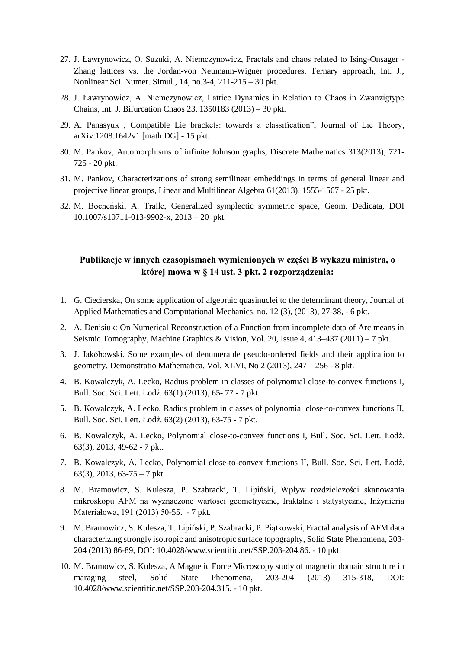- 27. J. Ławrynowicz, O. Suzuki, A. Niemczynowicz, Fractals and chaos related to Ising-Onsager Zhang lattices vs. the Jordan-von Neumann-Wigner procedures. Ternary approach, Int. J., Nonlinear Sci. Numer. Simul., 14, no.3-4, 211-215 – 30 pkt.
- 28. J. Ławrynowicz, A. Niemczynowicz, Lattice Dynamics in Relation to Chaos in Zwanzigtype Chains, Int. J. Bifurcation Chaos 23, 1350183 (2013) – 30 pkt.
- 29. A. Panasyuk , Compatible Lie brackets: towards a classification", Journal of Lie Theory, arXiv:1208.1642v1 [math.DG] - 15 pkt.
- 30. M. Pankov, Automorphisms of infinite Johnson graphs, Discrete Mathematics 313(2013), 721- 725 - 20 pkt.
- 31. M. Pankov, Characterizations of strong semilinear embeddings in terms of general linear and projective linear groups, Linear and Multilinear Algebra 61(2013), 1555-1567 - 25 pkt.
- 32. M. Bocheński, A. Tralle, Generalized symplectic symmetric space, Geom. Dedicata, DOI 10.1007/s10711-013-9902-x, 2013 – 20 pkt.

#### **Publikacje w innych czasopismach wymienionych w części B wykazu ministra, o której mowa w § 14 ust. 3 pkt. 2 rozporządzenia:**

- 1. G. Ciecierska, On some application of algebraic quasinuclei to the determinant theory, Journal of Applied Mathematics and Computational Mechanics, no. 12 (3), (2013), 27-38, - 6 pkt.
- 2. A. Denisiuk: On Numerical Reconstruction of a Function from incomplete data of Arc means in Seismic Tomography, Machine Graphics & Vision, Vol. 20, Issue 4, 413–437 (2011) – 7 pkt.
- 3. J. Jakóbowski, Some examples of denumerable pseudo-ordered fields and their application to geometry, Demonstratio Mathematica, Vol. XLVI, No 2 (2013), 247 – 256 - 8 pkt.
- 4. B. Kowalczyk, A. Lecko, Radius problem in classes of polynomial close-to-convex functions I, Bull. Soc. Sci. Lett. Łodź. 63(1) (2013), 65- 77 - 7 pkt.
- 5. B. Kowalczyk, A. Lecko, Radius problem in classes of polynomial close-to-convex functions II, Bull. Soc. Sci. Lett. Łodź. 63(2) (2013), 63-75 - 7 pkt.
- 6. B. Kowalczyk, A. Lecko, Polynomial close-to-convex functions I, Bull. Soc. Sci. Lett. Łodź. 63(3), 2013, 49-62 - 7 pkt.
- 7. B. Kowalczyk, A. Lecko, Polynomial close-to-convex functions II, Bull. Soc. Sci. Lett. Łodź. 63(3), 2013, 63-75 – 7 pkt.
- 8. M. Bramowicz, S. Kulesza, P. Szabracki, T. Lipiński, Wpływ rozdzielczości skanowania mikroskopu AFM na wyznaczone wartości geometryczne, fraktalne i statystyczne, Inżynieria Materiałowa, 191 (2013) 50-55. - 7 pkt.
- 9. M. Bramowicz, S. Kulesza, T. Lipiński, P. Szabracki, P. Piątkowski, Fractal analysis of AFM data characterizing strongly isotropic and anisotropic surface topography, Solid State Phenomena, 203- 204 (2013) 86-89, DOI: 10.4028/www.scientific.net/SSP.203-204.86. - 10 pkt.
- 10. M. Bramowicz, S. Kulesza, A Magnetic Force Microscopy study of magnetic domain structure in maraging steel, Solid State Phenomena, 203-204 (2013) 315-318, DOI: 10.4028/www.scientific.net/SSP.203-204.315. - 10 pkt.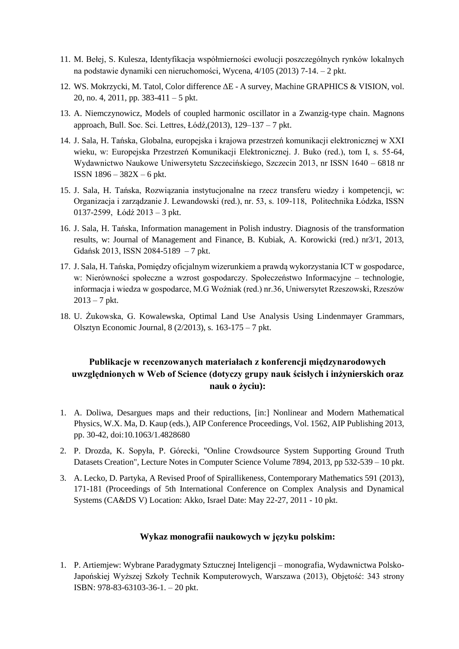- 11. M. Bełej, S. Kulesza, Identyfikacja współmierności ewolucji poszczególnych rynków lokalnych na podstawie dynamiki cen nieruchomości, Wycena, 4/105 (2013) 7-14. – 2 pkt.
- 12. WS. Mokrzycki, M. Tatol, Color difference ΔE A survey, Machine GRAPHICS & VISION, vol. 20, no. 4, 2011, pp. 383-411 – 5 pkt.
- 13. A. Niemczynowicz, Models of coupled harmonic oscillator in a Zwanzig-type chain. Magnons approach, Bull. Soc. Sci. Lettres, Łódź,(2013), 129–137 – 7 pkt.
- 14. J. Sala, H. Tańska, Globalna, europejska i krajowa przestrzeń komunikacji elektronicznej w XXI wieku, w: Europejska Przestrzeń Komunikacji Elektronicznej. J. Buko (red.), tom I, s. 55-64, Wydawnictwo Naukowe Uniwersytetu Szczecińskiego, Szczecin 2013, nr ISSN 1640 – 6818 nr ISSN 1896 – 382X – 6 pkt.
- 15. J. Sala, H. Tańska, Rozwiązania instytucjonalne na rzecz transferu wiedzy i kompetencji, w: Organizacja i zarządzanie J. Lewandowski (red.), nr. 53, s. 109-118, Politechnika Łódzka, ISSN 0137-2599, Łódź 2013 – 3 pkt.
- 16. J. Sala, H. Tańska, Information management in Polish industry. Diagnosis of the transformation results, w: Journal of Management and Finance, B. Kubiak, A. Korowicki (red.) nr3/1, 2013, Gdańsk 2013, ISSN 2084-5189 – 7 pkt.
- 17. J. Sala, H. Tańska, Pomiędzy oficjalnym wizerunkiem a prawdą wykorzystania ICT w gospodarce, w: Nierówności społeczne a wzrost gospodarczy. Społeczeństwo Informacyjne – technologie, informacja i wiedza w gospodarce, M.G Woźniak (red.) nr.36, Uniwersytet Rzeszowski, Rzeszów  $2013 - 7$  pkt.
- 18. U. Żukowska, G. Kowalewska, Optimal Land Use Analysis Using Lindenmayer Grammars, Olsztyn Economic Journal, 8 (2/2013), s. 163-175 – 7 pkt.

## **Publikacje w recenzowanych materiałach z konferencji międzynarodowych uwzględnionych w Web of Science (dotyczy grupy nauk ścisłych i inżynierskich oraz nauk o życiu):**

- 1. A. Doliwa, Desargues maps and their reductions, [in:] Nonlinear and Modern Mathematical Physics, W.X. Ma, D. Kaup (eds.), AIP Conference Proceedings, Vol. 1562, AIP Publishing 2013, pp. 30-42, doi[:10.1063/1.4828680](http://dx.doi.org/10.1063/1.4828680)
- 2. P. Drozda, K. Sopyła, P. Górecki, "Online Crowdsource System Supporting Ground Truth Datasets Creation", Lecture Notes in Computer Science Volume 7894, 2013, pp 532-539 – 10 pkt.
- 3. A. Lecko, D. Partyka, A Revised Proof of Spirallikeness, Contemporary Mathematics 591 (2013), 171-181 (Proceedings of 5th International Conference on Complex Analysis and Dynamical Systems (CA&DS V) Location: Akko, Israel Date: May 22-27, 2011 - 10 pkt.

#### **Wykaz monografii naukowych w języku polskim:**

1. P. Artiemjew: Wybrane Paradygmaty Sztucznej Inteligencji – monografia, Wydawnictwa Polsko-Japońskiej Wyższej Szkoły Technik Komputerowych, Warszawa (2013), Objętość: 343 strony ISBN: 978-83-63103-36-1. – 20 pkt.